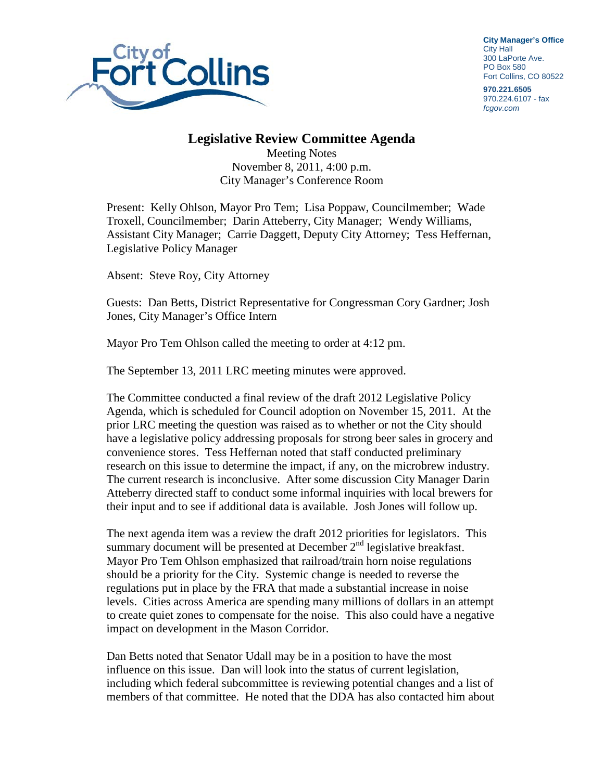

**City Manager's Office** City Hall 300 LaPorte Ave. PO Box 580 Fort Collins, CO 80522

**970.221.6505** 970.224.6107 - fax *fcgov.com*

## **Legislative Review Committee Agenda**

Meeting Notes November 8, 2011, 4:00 p.m. City Manager's Conference Room

Present: Kelly Ohlson, Mayor Pro Tem; Lisa Poppaw, Councilmember; Wade Troxell, Councilmember; Darin Atteberry, City Manager; Wendy Williams, Assistant City Manager; Carrie Daggett, Deputy City Attorney; Tess Heffernan, Legislative Policy Manager

Absent: Steve Roy, City Attorney

Guests: Dan Betts, District Representative for Congressman Cory Gardner; Josh Jones, City Manager's Office Intern

Mayor Pro Tem Ohlson called the meeting to order at 4:12 pm.

The September 13, 2011 LRC meeting minutes were approved.

The Committee conducted a final review of the draft 2012 Legislative Policy Agenda, which is scheduled for Council adoption on November 15, 2011. At the prior LRC meeting the question was raised as to whether or not the City should have a legislative policy addressing proposals for strong beer sales in grocery and convenience stores. Tess Heffernan noted that staff conducted preliminary research on this issue to determine the impact, if any, on the microbrew industry. The current research is inconclusive. After some discussion City Manager Darin Atteberry directed staff to conduct some informal inquiries with local brewers for their input and to see if additional data is available. Josh Jones will follow up.

The next agenda item was a review the draft 2012 priorities for legislators. This summary document will be presented at December  $2<sup>nd</sup>$  legislative breakfast. Mayor Pro Tem Ohlson emphasized that railroad/train horn noise regulations should be a priority for the City. Systemic change is needed to reverse the regulations put in place by the FRA that made a substantial increase in noise levels. Cities across America are spending many millions of dollars in an attempt to create quiet zones to compensate for the noise. This also could have a negative impact on development in the Mason Corridor.

Dan Betts noted that Senator Udall may be in a position to have the most influence on this issue. Dan will look into the status of current legislation, including which federal subcommittee is reviewing potential changes and a list of members of that committee. He noted that the DDA has also contacted him about